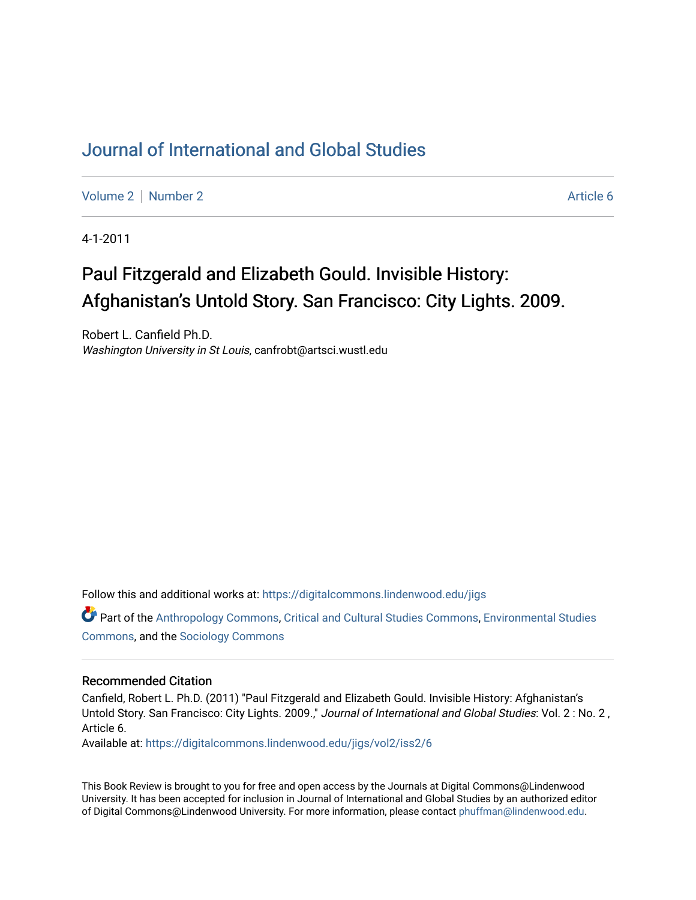## [Journal of International and Global Studies](https://digitalcommons.lindenwood.edu/jigs)

[Volume 2](https://digitalcommons.lindenwood.edu/jigs/vol2) [Number 2](https://digitalcommons.lindenwood.edu/jigs/vol2/iss2) Article 6

4-1-2011

## Paul Fitzgerald and Elizabeth Gould. Invisible History: Afghanistan's Untold Story. San Francisco: City Lights. 2009.

Robert L. Canfield Ph.D. Washington University in St Louis, canfrobt@artsci.wustl.edu

Follow this and additional works at: [https://digitalcommons.lindenwood.edu/jigs](https://digitalcommons.lindenwood.edu/jigs?utm_source=digitalcommons.lindenwood.edu%2Fjigs%2Fvol2%2Fiss2%2F6&utm_medium=PDF&utm_campaign=PDFCoverPages) 

Part of the [Anthropology Commons](http://network.bepress.com/hgg/discipline/318?utm_source=digitalcommons.lindenwood.edu%2Fjigs%2Fvol2%2Fiss2%2F6&utm_medium=PDF&utm_campaign=PDFCoverPages), [Critical and Cultural Studies Commons](http://network.bepress.com/hgg/discipline/328?utm_source=digitalcommons.lindenwood.edu%2Fjigs%2Fvol2%2Fiss2%2F6&utm_medium=PDF&utm_campaign=PDFCoverPages), [Environmental Studies](http://network.bepress.com/hgg/discipline/1333?utm_source=digitalcommons.lindenwood.edu%2Fjigs%2Fvol2%2Fiss2%2F6&utm_medium=PDF&utm_campaign=PDFCoverPages)  [Commons](http://network.bepress.com/hgg/discipline/1333?utm_source=digitalcommons.lindenwood.edu%2Fjigs%2Fvol2%2Fiss2%2F6&utm_medium=PDF&utm_campaign=PDFCoverPages), and the [Sociology Commons](http://network.bepress.com/hgg/discipline/416?utm_source=digitalcommons.lindenwood.edu%2Fjigs%2Fvol2%2Fiss2%2F6&utm_medium=PDF&utm_campaign=PDFCoverPages)

## Recommended Citation

Canfield, Robert L. Ph.D. (2011) "Paul Fitzgerald and Elizabeth Gould. Invisible History: Afghanistan's Untold Story. San Francisco: City Lights. 2009.," Journal of International and Global Studies: Vol. 2 : No. 2 , Article 6.

Available at: [https://digitalcommons.lindenwood.edu/jigs/vol2/iss2/6](https://digitalcommons.lindenwood.edu/jigs/vol2/iss2/6?utm_source=digitalcommons.lindenwood.edu%2Fjigs%2Fvol2%2Fiss2%2F6&utm_medium=PDF&utm_campaign=PDFCoverPages)

This Book Review is brought to you for free and open access by the Journals at Digital Commons@Lindenwood University. It has been accepted for inclusion in Journal of International and Global Studies by an authorized editor of Digital Commons@Lindenwood University. For more information, please contact [phuffman@lindenwood.edu](mailto:phuffman@lindenwood.edu).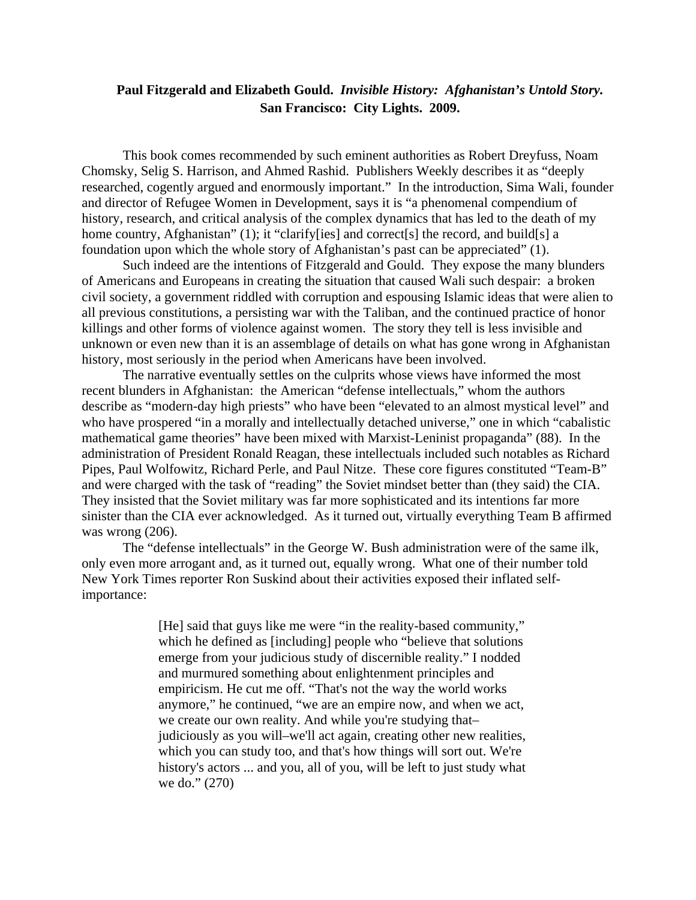## **Paul Fitzgerald and Elizabeth Gould.** *Invisible History: Afghanistan's Untold Story.*  **San Francisco: City Lights. 2009.**

This book comes recommended by such eminent authorities as Robert Dreyfuss, Noam Chomsky, Selig S. Harrison, and Ahmed Rashid. Publishers Weekly describes it as "deeply researched, cogently argued and enormously important." In the introduction, Sima Wali, founder and director of Refugee Women in Development, says it is "a phenomenal compendium of history, research, and critical analysis of the complex dynamics that has led to the death of my home country, Afghanistan" (1); it "clarify[ies] and correct[s] the record, and build[s] a foundation upon which the whole story of Afghanistan's past can be appreciated" (1).

Such indeed are the intentions of Fitzgerald and Gould. They expose the many blunders of Americans and Europeans in creating the situation that caused Wali such despair: a broken civil society, a government riddled with corruption and espousing Islamic ideas that were alien to all previous constitutions, a persisting war with the Taliban, and the continued practice of honor killings and other forms of violence against women. The story they tell is less invisible and unknown or even new than it is an assemblage of details on what has gone wrong in Afghanistan history, most seriously in the period when Americans have been involved.

The narrative eventually settles on the culprits whose views have informed the most recent blunders in Afghanistan: the American "defense intellectuals," whom the authors describe as "modern-day high priests" who have been "elevated to an almost mystical level" and who have prospered "in a morally and intellectually detached universe," one in which "cabalistic mathematical game theories" have been mixed with Marxist-Leninist propaganda" (88). In the administration of President Ronald Reagan, these intellectuals included such notables as Richard Pipes, Paul Wolfowitz, Richard Perle, and Paul Nitze. These core figures constituted "Team-B" and were charged with the task of "reading" the Soviet mindset better than (they said) the CIA. They insisted that the Soviet military was far more sophisticated and its intentions far more sinister than the CIA ever acknowledged. As it turned out, virtually everything Team B affirmed was wrong (206).

The "defense intellectuals" in the George W. Bush administration were of the same ilk, only even more arrogant and, as it turned out, equally wrong. What one of their number told New York Times reporter Ron Suskind about their activities exposed their inflated selfimportance:

> [He] said that guys like me were "in the reality-based community," which he defined as [including] people who "believe that solutions emerge from your judicious study of discernible reality." I nodded and murmured something about enlightenment principles and empiricism. He cut me off. "That's not the way the world works anymore," he continued, "we are an empire now, and when we act, we create our own reality. And while you're studying thatjudiciously as you will–we'll act again, creating other new realities, which you can study too, and that's how things will sort out. We're history's actors ... and you, all of you, will be left to just study what we do." (270)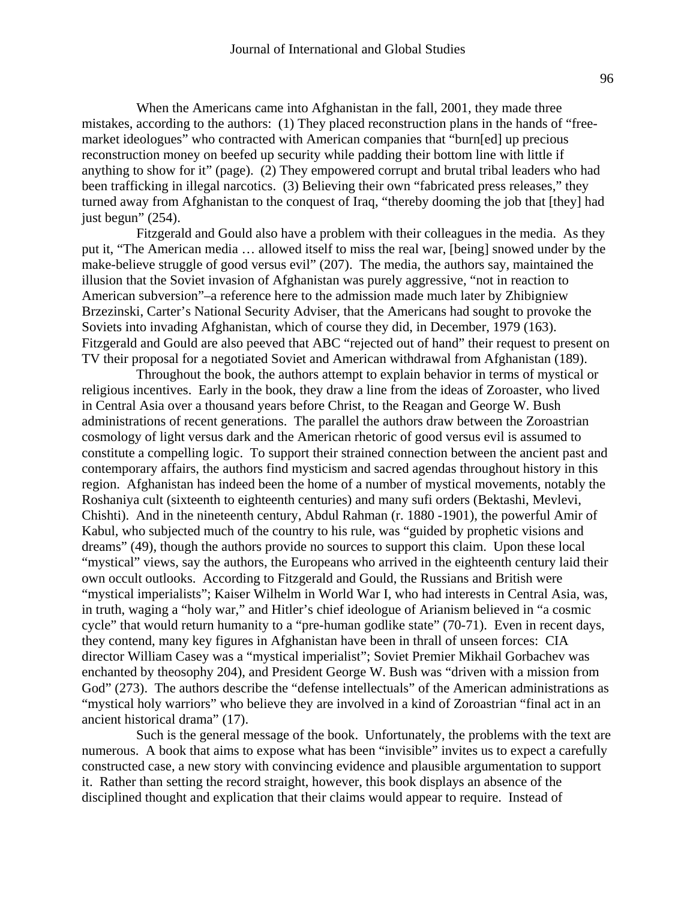When the Americans came into Afghanistan in the fall, 2001, they made three mistakes, according to the authors: (1) They placed reconstruction plans in the hands of "freemarket ideologues" who contracted with American companies that "burn[ed] up precious reconstruction money on beefed up security while padding their bottom line with little if anything to show for it" (page). (2) They empowered corrupt and brutal tribal leaders who had been trafficking in illegal narcotics. (3) Believing their own "fabricated press releases," they turned away from Afghanistan to the conquest of Iraq, "thereby dooming the job that [they] had just begun" (254).

 Fitzgerald and Gould also have a problem with their colleagues in the media. As they put it, "The American media … allowed itself to miss the real war, [being] snowed under by the make-believe struggle of good versus evil" (207). The media, the authors say, maintained the illusion that the Soviet invasion of Afghanistan was purely aggressive, "not in reaction to American subversion"–a reference here to the admission made much later by Zhibigniew Brzezinski, Carter's National Security Adviser, that the Americans had sought to provoke the Soviets into invading Afghanistan, which of course they did, in December, 1979 (163). Fitzgerald and Gould are also peeved that ABC "rejected out of hand" their request to present on TV their proposal for a negotiated Soviet and American withdrawal from Afghanistan (189).

 Throughout the book, the authors attempt to explain behavior in terms of mystical or religious incentives. Early in the book, they draw a line from the ideas of Zoroaster, who lived in Central Asia over a thousand years before Christ, to the Reagan and George W. Bush administrations of recent generations. The parallel the authors draw between the Zoroastrian cosmology of light versus dark and the American rhetoric of good versus evil is assumed to constitute a compelling logic. To support their strained connection between the ancient past and contemporary affairs, the authors find mysticism and sacred agendas throughout history in this region. Afghanistan has indeed been the home of a number of mystical movements, notably the Roshaniya cult (sixteenth to eighteenth centuries) and many sufi orders (Bektashi, Mevlevi, Chishti). And in the nineteenth century, Abdul Rahman (r. 1880 -1901), the powerful Amir of Kabul, who subjected much of the country to his rule, was "guided by prophetic visions and dreams" (49), though the authors provide no sources to support this claim. Upon these local "mystical" views, say the authors, the Europeans who arrived in the eighteenth century laid their own occult outlooks. According to Fitzgerald and Gould, the Russians and British were "mystical imperialists"; Kaiser Wilhelm in World War I, who had interests in Central Asia, was, in truth, waging a "holy war," and Hitler's chief ideologue of Arianism believed in "a cosmic cycle" that would return humanity to a "pre-human godlike state" (70-71). Even in recent days, they contend, many key figures in Afghanistan have been in thrall of unseen forces: CIA director William Casey was a "mystical imperialist"; Soviet Premier Mikhail Gorbachev was enchanted by theosophy 204), and President George W. Bush was "driven with a mission from God" (273). The authors describe the "defense intellectuals" of the American administrations as "mystical holy warriors" who believe they are involved in a kind of Zoroastrian "final act in an ancient historical drama" (17).

 Such is the general message of the book. Unfortunately, the problems with the text are numerous. A book that aims to expose what has been "invisible" invites us to expect a carefully constructed case, a new story with convincing evidence and plausible argumentation to support it. Rather than setting the record straight, however, this book displays an absence of the disciplined thought and explication that their claims would appear to require. Instead of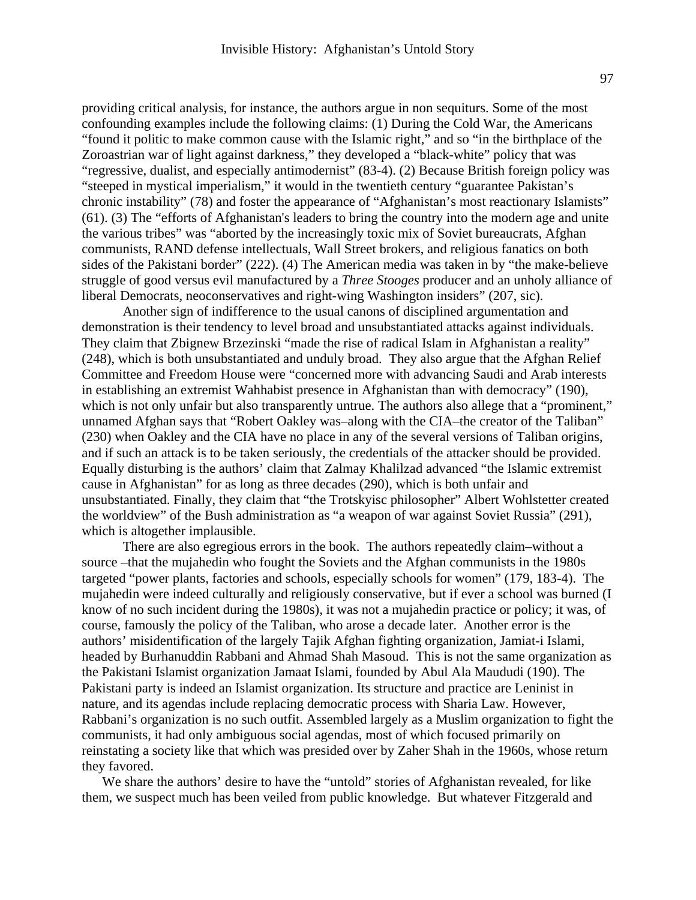97

providing critical analysis, for instance, the authors argue in non sequiturs. Some of the most confounding examples include the following claims: (1) During the Cold War, the Americans "found it politic to make common cause with the Islamic right," and so "in the birthplace of the Zoroastrian war of light against darkness," they developed a "black-white" policy that was "regressive, dualist, and especially antimodernist" (83-4). (2) Because British foreign policy was "steeped in mystical imperialism," it would in the twentieth century "guarantee Pakistan's chronic instability" (78) and foster the appearance of "Afghanistan's most reactionary Islamists" (61). (3) The "efforts of Afghanistan's leaders to bring the country into the modern age and unite the various tribes" was "aborted by the increasingly toxic mix of Soviet bureaucrats, Afghan communists, RAND defense intellectuals, Wall Street brokers, and religious fanatics on both sides of the Pakistani border" (222). (4) The American media was taken in by "the make-believe struggle of good versus evil manufactured by a *Three Stooges* producer and an unholy alliance of liberal Democrats, neoconservatives and right-wing Washington insiders" (207, sic).

Another sign of indifference to the usual canons of disciplined argumentation and demonstration is their tendency to level broad and unsubstantiated attacks against individuals. They claim that Zbignew Brzezinski "made the rise of radical Islam in Afghanistan a reality" (248), which is both unsubstantiated and unduly broad. They also argue that the Afghan Relief Committee and Freedom House were "concerned more with advancing Saudi and Arab interests in establishing an extremist Wahhabist presence in Afghanistan than with democracy" (190), which is not only unfair but also transparently untrue. The authors also allege that a "prominent," unnamed Afghan says that "Robert Oakley was–along with the CIA–the creator of the Taliban" (230) when Oakley and the CIA have no place in any of the several versions of Taliban origins, and if such an attack is to be taken seriously, the credentials of the attacker should be provided. Equally disturbing is the authors' claim that Zalmay Khalilzad advanced "the Islamic extremist cause in Afghanistan" for as long as three decades (290), which is both unfair and unsubstantiated. Finally, they claim that "the Trotskyisc philosopher" Albert Wohlstetter created the worldview" of the Bush administration as "a weapon of war against Soviet Russia" (291), which is altogether implausible.

There are also egregious errors in the book. The authors repeatedly claim–without a source –that the mujahedin who fought the Soviets and the Afghan communists in the 1980s targeted "power plants, factories and schools, especially schools for women" (179, 183-4). The mujahedin were indeed culturally and religiously conservative, but if ever a school was burned (I know of no such incident during the 1980s), it was not a mujahedin practice or policy; it was, of course, famously the policy of the Taliban, who arose a decade later. Another error is the authors' misidentification of the largely Tajik Afghan fighting organization, Jamiat-i Islami, headed by Burhanuddin Rabbani and Ahmad Shah Masoud. This is not the same organization as the Pakistani Islamist organization Jamaat Islami, founded by Abul Ala Maududi (190). The Pakistani party is indeed an Islamist organization. Its structure and practice are Leninist in nature, and its agendas include replacing democratic process with Sharia Law. However, Rabbani's organization is no such outfit. Assembled largely as a Muslim organization to fight the communists, it had only ambiguous social agendas, most of which focused primarily on reinstating a society like that which was presided over by Zaher Shah in the 1960s, whose return they favored.

We share the authors' desire to have the "untold" stories of Afghanistan revealed, for like them, we suspect much has been veiled from public knowledge. But whatever Fitzgerald and